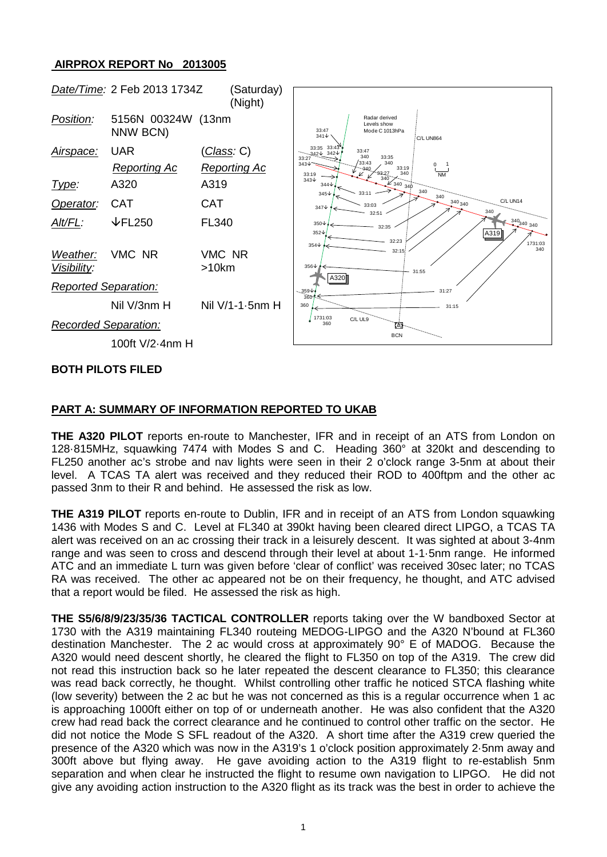## **AIRPROX REPORT No 2013005**



### **BOTH PILOTS FILED**

## **PART A: SUMMARY OF INFORMATION REPORTED TO UKAB**

**THE A320 PILOT** reports en-route to Manchester, IFR and in receipt of an ATS from London on 128·815MHz, squawking 7474 with Modes S and C. Heading 360° at 320kt and descending to FL250 another ac's strobe and nav lights were seen in their 2 o'clock range 3-5nm at about their level. A TCAS TA alert was received and they reduced their ROD to 400ftpm and the other ac passed 3nm to their R and behind. He assessed the risk as low.

**THE A319 PILOT** reports en-route to Dublin, IFR and in receipt of an ATS from London squawking 1436 with Modes S and C. Level at FL340 at 390kt having been cleared direct LIPGO, a TCAS TA alert was received on an ac crossing their track in a leisurely descent. It was sighted at about 3-4nm range and was seen to cross and descend through their level at about 1-1·5nm range. He informed ATC and an immediate L turn was given before 'clear of conflict' was received 30sec later; no TCAS RA was received. The other ac appeared not be on their frequency, he thought, and ATC advised that a report would be filed. He assessed the risk as high.

**THE S5/6/8/9/23/35/36 TACTICAL CONTROLLER** reports taking over the W bandboxed Sector at 1730 with the A319 maintaining FL340 routeing MEDOG-LIPGO and the A320 N'bound at FL360 destination Manchester. The 2 ac would cross at approximately 90° E of MADOG. Because the A320 would need descent shortly, he cleared the flight to FL350 on top of the A319. The crew did not read this instruction back so he later repeated the descent clearance to FL350; this clearance was read back correctly, he thought. Whilst controlling other traffic he noticed STCA flashing white (low severity) between the 2 ac but he was not concerned as this is a regular occurrence when 1 ac is approaching 1000ft either on top of or underneath another. He was also confident that the A320 crew had read back the correct clearance and he continued to control other traffic on the sector. He did not notice the Mode S SFL readout of the A320. A short time after the A319 crew queried the presence of the A320 which was now in the A319's 1 o'clock position approximately 2·5nm away and 300ft above but flying away. He gave avoiding action to the A319 flight to re-establish 5nm separation and when clear he instructed the flight to resume own navigation to LIPGO. He did not give any avoiding action instruction to the A320 flight as its track was the best in order to achieve the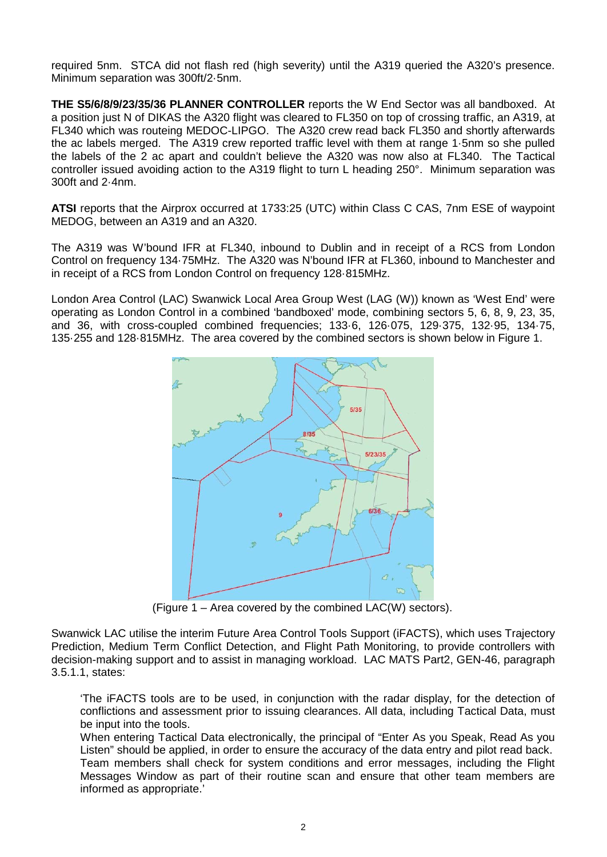required 5nm. STCA did not flash red (high severity) until the A319 queried the A320's presence. Minimum separation was 300ft/2·5nm.

**THE S5/6/8/9/23/35/36 PLANNER CONTROLLER** reports the W End Sector was all bandboxed. At a position just N of DIKAS the A320 flight was cleared to FL350 on top of crossing traffic, an A319, at FL340 which was routeing MEDOC-LIPGO. The A320 crew read back FL350 and shortly afterwards the ac labels merged. The A319 crew reported traffic level with them at range 1·5nm so she pulled the labels of the 2 ac apart and couldn't believe the A320 was now also at FL340. The Tactical controller issued avoiding action to the A319 flight to turn L heading 250°. Minimum separation was 300ft and 2·4nm.

**ATSI** reports that the Airprox occurred at 1733:25 (UTC) within Class C CAS, 7nm ESE of waypoint MEDOG, between an A319 and an A320.

The A319 was W'bound IFR at FL340, inbound to Dublin and in receipt of a RCS from London Control on frequency 134·75MHz. The A320 was N'bound IFR at FL360, inbound to Manchester and in receipt of a RCS from London Control on frequency 128·815MHz.

London Area Control (LAC) Swanwick Local Area Group West (LAG (W)) known as 'West End' were operating as London Control in a combined 'bandboxed' mode, combining sectors 5, 6, 8, 9, 23, 35, and 36, with cross-coupled combined frequencies; 133·6, 126·075, 129·375, 132·95, 134·75, 135·255 and 128·815MHz. The area covered by the combined sectors is shown below in Figure 1.



(Figure 1 – Area covered by the combined LAC(W) sectors).

Swanwick LAC utilise the interim Future Area Control Tools Support (iFACTS), which uses Trajectory Prediction, Medium Term Conflict Detection, and Flight Path Monitoring, to provide controllers with decision-making support and to assist in managing workload. LAC MATS Part2, GEN-46, paragraph 3.5.1.1, states:

'The iFACTS tools are to be used, in conjunction with the radar display, for the detection of conflictions and assessment prior to issuing clearances. All data, including Tactical Data, must be input into the tools.

When entering Tactical Data electronically, the principal of "Enter As you Speak, Read As you Listen" should be applied, in order to ensure the accuracy of the data entry and pilot read back. Team members shall check for system conditions and error messages, including the Flight Messages Window as part of their routine scan and ensure that other team members are informed as appropriate.'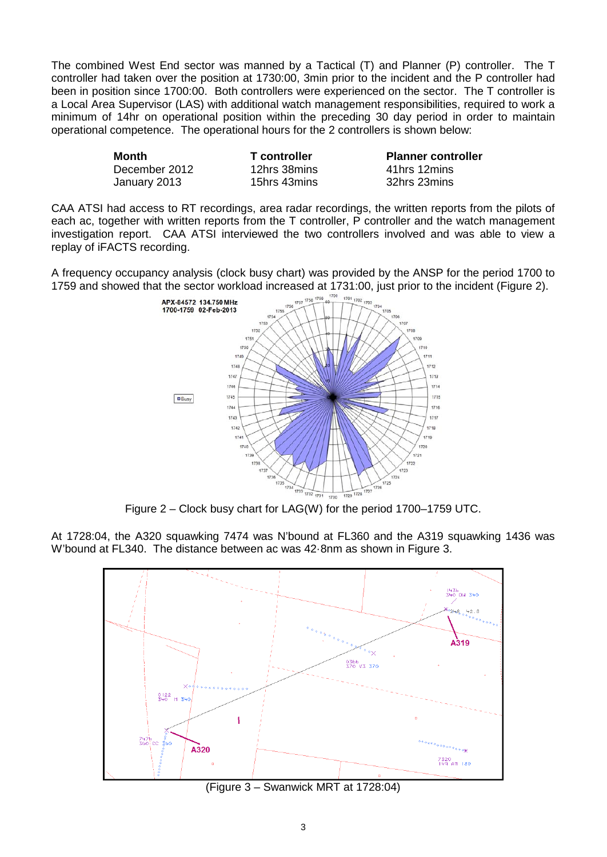The combined West End sector was manned by a Tactical (T) and Planner (P) controller. The T controller had taken over the position at 1730:00, 3min prior to the incident and the P controller had been in position since 1700:00. Both controllers were experienced on the sector. The T controller is a Local Area Supervisor (LAS) with additional watch management responsibilities, required to work a minimum of 14hr on operational position within the preceding 30 day period in order to maintain operational competence. The operational hours for the 2 controllers is shown below:

| Month         | T controller | <b>Planner controller</b> |  |  |
|---------------|--------------|---------------------------|--|--|
| December 2012 | 12hrs 38mins | 41hrs 12mins              |  |  |
| January 2013  | 15hrs 43mins | 32hrs 23mins              |  |  |

CAA ATSI had access to RT recordings, area radar recordings, the written reports from the pilots of each ac, together with written reports from the T controller, P controller and the watch management investigation report. CAA ATSI interviewed the two controllers involved and was able to view a replay of iFACTS recording.

A frequency occupancy analysis (clock busy chart) was provided by the ANSP for the period 1700 to 1759 and showed that the sector workload increased at 1731:00, just prior to the incident (Figure 2).<br>  $\frac{1759 \times 1756 \times 176}{1756 \times 176 \times 1760 \times 1760 \times 1760 \times 1760 \times 1760 \times 1760 \times 1760 \times 1760 \times 1760 \times 1760 \times 1760 \times 1760 \times$ 



Figure 2 – Clock busy chart for LAG(W) for the period 1700–1759 UTC.

At 1728:04, the A320 squawking 7474 was N'bound at FL360 and the A319 squawking 1436 was W'bound at FL340. The distance between ac was 42·8nm as shown in Figure 3.



(Figure 3 – Swanwick MRT at 1728:04)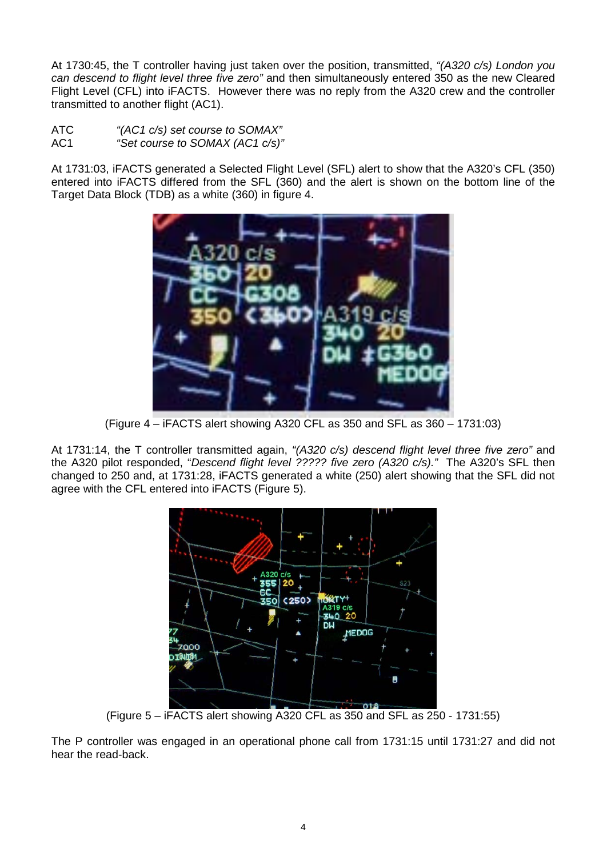At 1730:45, the T controller having just taken over the position, transmitted, *"(A320 c/s) London you can descend to flight level three five zero"* and then simultaneously entered 350 as the new Cleared Flight Level (CFL) into iFACTS. However there was no reply from the A320 crew and the controller transmitted to another flight (AC1).

- ATC *"(AC1 c/s) set course to SOMAX"*
- AC1 *"Set course to SOMAX (AC1 c/s)"*

At 1731:03, iFACTS generated a Selected Flight Level (SFL) alert to show that the A320's CFL (350) entered into iFACTS differed from the SFL (360) and the alert is shown on the bottom line of the Target Data Block (TDB) as a white (360) in figure 4.



(Figure 4 – iFACTS alert showing A320 CFL as 350 and SFL as 360 – 1731:03)

At 1731:14, the T controller transmitted again, *"(A320 c/s) descend flight level three five zero"* and the A320 pilot responded, "*Descend flight level ????? five zero (A320 c/s)."* The A320's SFL then changed to 250 and, at 1731:28, iFACTS generated a white (250) alert showing that the SFL did not agree with the CFL entered into iFACTS (Figure 5).



(Figure 5 – iFACTS alert showing A320 CFL as 350 and SFL as 250 - 1731:55)

The P controller was engaged in an operational phone call from 1731:15 until 1731:27 and did not hear the read-back.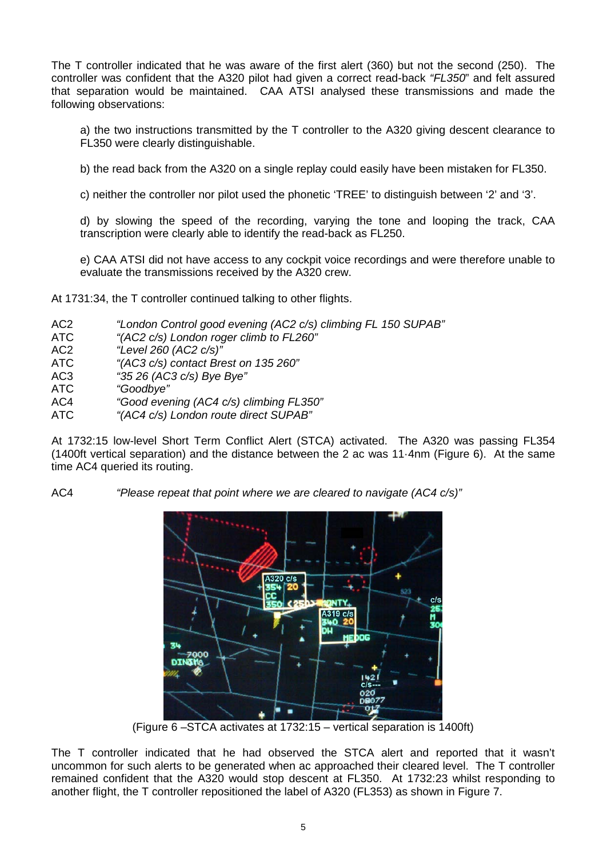The T controller indicated that he was aware of the first alert (360) but not the second (250). The controller was confident that the A320 pilot had given a correct read-back *"FL350*" and felt assured that separation would be maintained. CAA ATSI analysed these transmissions and made the following observations:

a) the two instructions transmitted by the T controller to the A320 giving descent clearance to FL350 were clearly distinguishable.

b) the read back from the A320 on a single replay could easily have been mistaken for FL350.

c) neither the controller nor pilot used the phonetic 'TREE' to distinguish between '2' and '3'.

d) by slowing the speed of the recording, varying the tone and looping the track, CAA transcription were clearly able to identify the read-back as FL250.

e) CAA ATSI did not have access to any cockpit voice recordings and were therefore unable to evaluate the transmissions received by the A320 crew.

At 1731:34, the T controller continued talking to other flights.

- AC2 *"London Control good evening (AC2 c/s) climbing FL 150 SUPAB"*
- ATC *"(AC2 c/s) London roger climb to FL260"*
- AC2 *"Level 260 (AC2 c/s)"*
- ATC *"(AC3 c/s) contact Brest on 135 260"*
- AC3 *"35 26 (AC3 c/s) Bye Bye"*
- ATC *"Goodbye"*
- AC4 *"Good evening (AC4 c/s) climbing FL350"*
- ATC *"(AC4 c/s) London route direct SUPAB"*

At 1732:15 low-level Short Term Conflict Alert (STCA) activated. The A320 was passing FL354 (1400ft vertical separation) and the distance between the 2 ac was 11·4nm (Figure 6). At the same time AC4 queried its routing.

AC4 *"Please repeat that point where we are cleared to navigate (AC4 c/s)"*



(Figure 6 –STCA activates at 1732:15 – vertical separation is 1400ft)

The T controller indicated that he had observed the STCA alert and reported that it wasn't uncommon for such alerts to be generated when ac approached their cleared level. The T controller remained confident that the A320 would stop descent at FL350. At 1732:23 whilst responding to another flight, the T controller repositioned the label of A320 (FL353) as shown in Figure 7.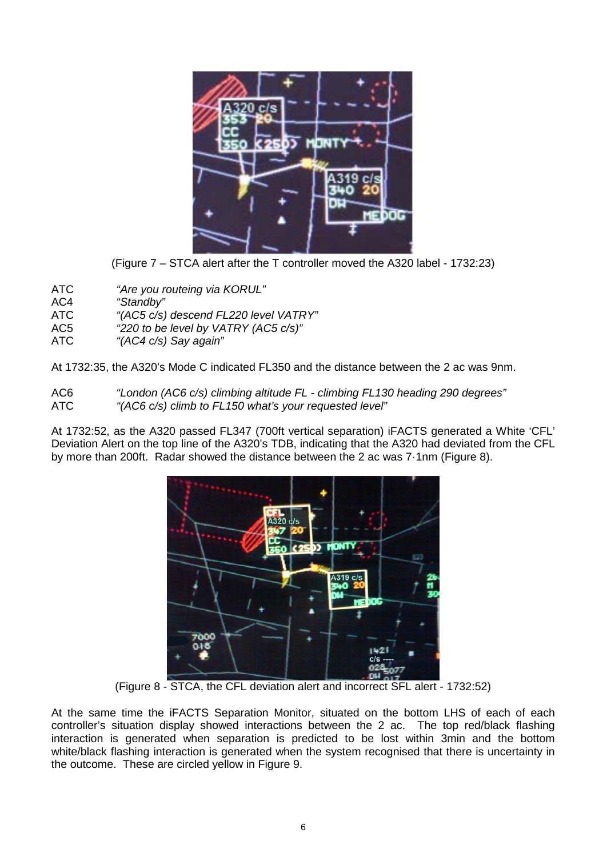

(Figure 7 – STCA alert after the T controller moved the A320 label - 1732:23)

- ATC *"Are you routeing via KORUL"*
- "Standby"
- ATC *"(AC5 c/s) descend FL220 level VATRY"*
- AC5 *"220 to be level by VATRY (AC5 c/s)"*
- ATC *"(AC4 c/s) Say again"*

At 1732:35, the A320's Mode C indicated FL350 and the distance between the 2 ac was 9nm.

AC6 *"London (AC6 c/s) climbing altitude FL - climbing FL130 heading 290 degrees"* ATC *"(AC6 c/s) climb to FL150 what's your requested level"*

At 1732:52, as the A320 passed FL347 (700ft vertical separation) iFACTS generated a White 'CFL' Deviation Alert on the top line of the A320's TDB, indicating that the A320 had deviated from the CFL by more than 200ft. Radar showed the distance between the 2 ac was 7·1nm (Figure 8).



(Figure 8 - STCA, the CFL deviation alert and incorrect SFL alert - 1732:52)

At the same time the iFACTS Separation Monitor, situated on the bottom LHS of each of each controller's situation display showed interactions between the 2 ac. The top red/black flashing interaction is generated when separation is predicted to be lost within 3min and the bottom white/black flashing interaction is generated when the system recognised that there is uncertainty in the outcome. These are circled yellow in Figure 9.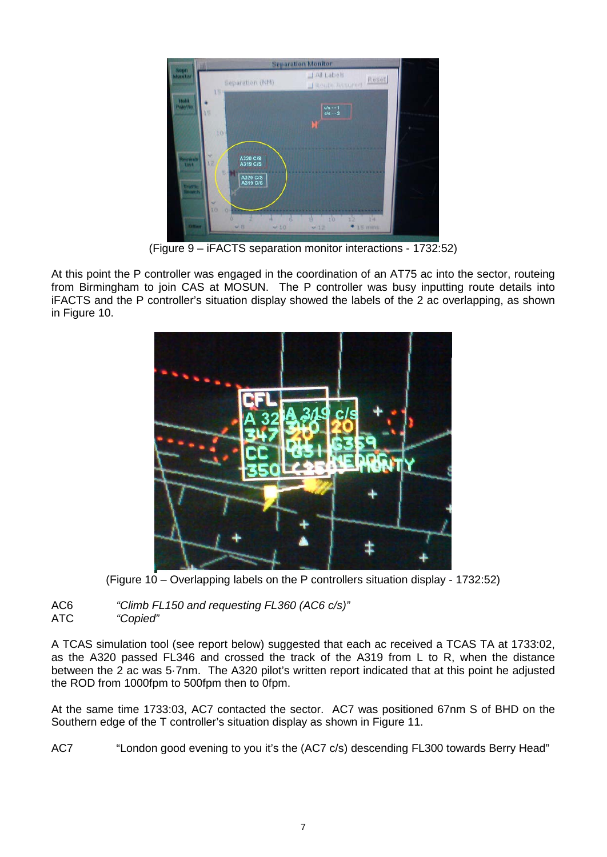

(Figure 9 – iFACTS separation monitor interactions - 1732:52)

At this point the P controller was engaged in the coordination of an AT75 ac into the sector, routeing from Birmingham to join CAS at MOSUN. The P controller was busy inputting route details into iFACTS and the P controller's situation display showed the labels of the 2 ac overlapping, as shown in Figure 10.



(Figure 10 – Overlapping labels on the P controllers situation display - 1732:52)

AC6 *"Climb FL150 and requesting FL360 (AC6 c/s)"* ATC *"Copied"*

A TCAS simulation tool (see report below) suggested that each ac received a TCAS TA at 1733:02, as the A320 passed FL346 and crossed the track of the A319 from L to R, when the distance between the 2 ac was 5·7nm. The A320 pilot's written report indicated that at this point he adjusted the ROD from 1000fpm to 500fpm then to 0fpm.

At the same time 1733:03, AC7 contacted the sector. AC7 was positioned 67nm S of BHD on the Southern edge of the T controller's situation display as shown in Figure 11.

AC7 "London good evening to you it's the (AC7 c/s) descending FL300 towards Berry Head"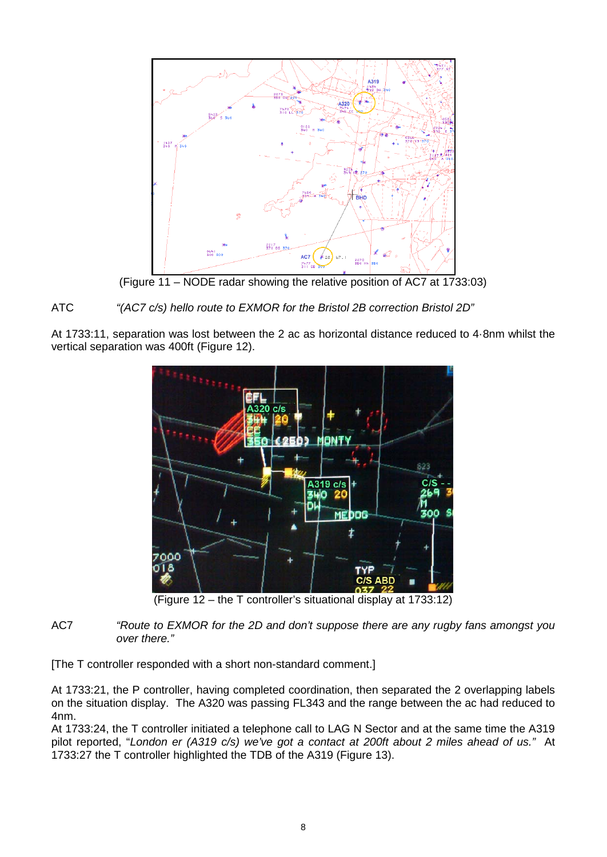

(Figure 11 – NODE radar showing the relative position of AC7 at 1733:03)

# ATC *"(AC7 c/s) hello route to EXMOR for the Bristol 2B correction Bristol 2D"*

At 1733:11, separation was lost between the 2 ac as horizontal distance reduced to 4·8nm whilst the vertical separation was 400ft (Figure 12).



(Figure 12 – the T controller's situational display at 1733:12)

## AC7 *"Route to EXMOR for the 2D and don't suppose there are any rugby fans amongst you over there."*

[The T controller responded with a short non-standard comment.]

At 1733:21, the P controller, having completed coordination, then separated the 2 overlapping labels on the situation display. The A320 was passing FL343 and the range between the ac had reduced to 4nm.

At 1733:24, the T controller initiated a telephone call to LAG N Sector and at the same time the A319 pilot reported, "*London er (A319 c/s) we've got a contact at 200ft about 2 miles ahead of us."* At 1733:27 the T controller highlighted the TDB of the A319 (Figure 13).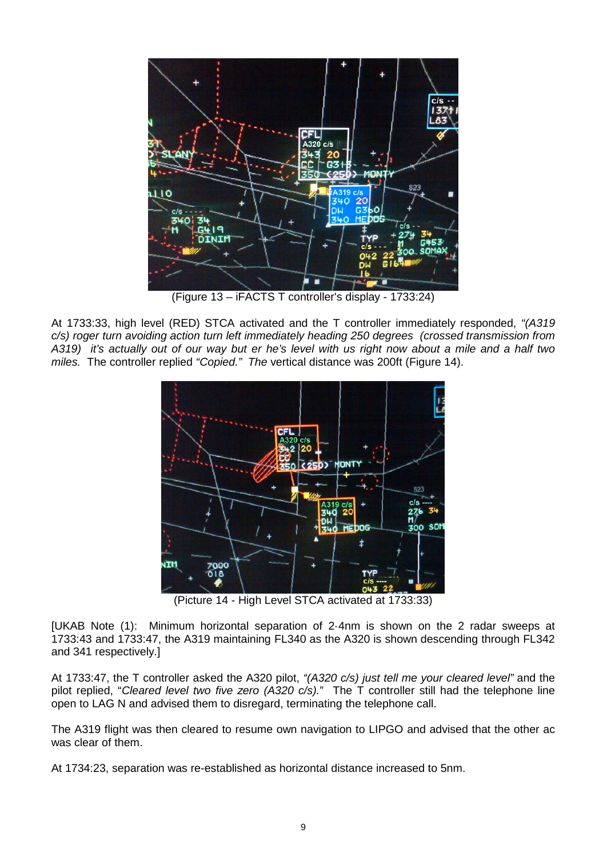

(Figure 13 – iFACTS T controller's display - 1733:24)

At 1733:33, high level (RED) STCA activated and the T controller immediately responded, *"(A319 c/s) roger turn avoiding action turn left immediately heading 250 degrees (crossed transmission from A319) it's actually out of our way but er he's level with us right now about a mile and a half two miles.* The controller replied *"Copied." The* vertical distance was 200ft (Figure 14).



(Picture 14 - High Level STCA activated at 1733:33)

[UKAB Note (1): Minimum horizontal separation of 2·4nm is shown on the 2 radar sweeps at 1733:43 and 1733:47, the A319 maintaining FL340 as the A320 is shown descending through FL342 and 341 respectively.]

At 1733:47, the T controller asked the A320 pilot, *"(A320 c/s) just tell me your cleared level"* and the pilot replied, "*Cleared level two five zero (A320 c/s).*" The T controller still had the telephone line open to LAG N and advised them to disregard, terminating the telephone call.

The A319 flight was then cleared to resume own navigation to LIPGO and advised that the other ac was clear of them.

At 1734:23, separation was re-established as horizontal distance increased to 5nm.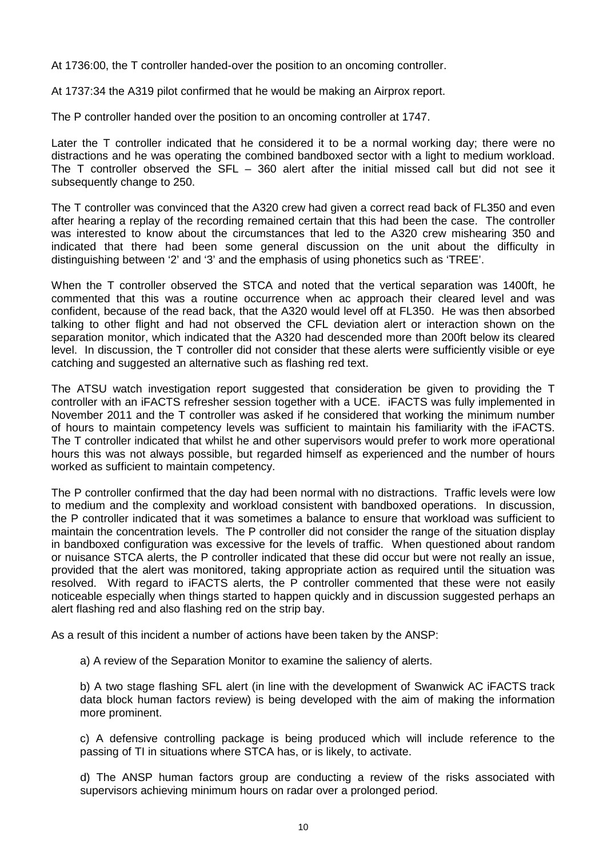At 1736:00, the T controller handed-over the position to an oncoming controller.

At 1737:34 the A319 pilot confirmed that he would be making an Airprox report.

The P controller handed over the position to an oncoming controller at 1747.

Later the T controller indicated that he considered it to be a normal working day; there were no distractions and he was operating the combined bandboxed sector with a light to medium workload. The T controller observed the SFL – 360 alert after the initial missed call but did not see it subsequently change to 250.

The T controller was convinced that the A320 crew had given a correct read back of FL350 and even after hearing a replay of the recording remained certain that this had been the case. The controller was interested to know about the circumstances that led to the A320 crew mishearing 350 and indicated that there had been some general discussion on the unit about the difficulty in distinguishing between '2' and '3' and the emphasis of using phonetics such as 'TREE'.

When the T controller observed the STCA and noted that the vertical separation was 1400ft, he commented that this was a routine occurrence when ac approach their cleared level and was confident, because of the read back, that the A320 would level off at FL350. He was then absorbed talking to other flight and had not observed the CFL deviation alert or interaction shown on the separation monitor, which indicated that the A320 had descended more than 200ft below its cleared level. In discussion, the T controller did not consider that these alerts were sufficiently visible or eye catching and suggested an alternative such as flashing red text.

The ATSU watch investigation report suggested that consideration be given to providing the T controller with an iFACTS refresher session together with a UCE. iFACTS was fully implemented in November 2011 and the T controller was asked if he considered that working the minimum number of hours to maintain competency levels was sufficient to maintain his familiarity with the iFACTS. The T controller indicated that whilst he and other supervisors would prefer to work more operational hours this was not always possible, but regarded himself as experienced and the number of hours worked as sufficient to maintain competency.

The P controller confirmed that the day had been normal with no distractions. Traffic levels were low to medium and the complexity and workload consistent with bandboxed operations. In discussion, the P controller indicated that it was sometimes a balance to ensure that workload was sufficient to maintain the concentration levels. The P controller did not consider the range of the situation display in bandboxed configuration was excessive for the levels of traffic. When questioned about random or nuisance STCA alerts, the P controller indicated that these did occur but were not really an issue, provided that the alert was monitored, taking appropriate action as required until the situation was resolved. With regard to iFACTS alerts, the P controller commented that these were not easily noticeable especially when things started to happen quickly and in discussion suggested perhaps an alert flashing red and also flashing red on the strip bay.

As a result of this incident a number of actions have been taken by the ANSP:

a) A review of the Separation Monitor to examine the saliency of alerts.

b) A two stage flashing SFL alert (in line with the development of Swanwick AC iFACTS track data block human factors review) is being developed with the aim of making the information more prominent.

c) A defensive controlling package is being produced which will include reference to the passing of TI in situations where STCA has, or is likely, to activate.

d) The ANSP human factors group are conducting a review of the risks associated with supervisors achieving minimum hours on radar over a prolonged period.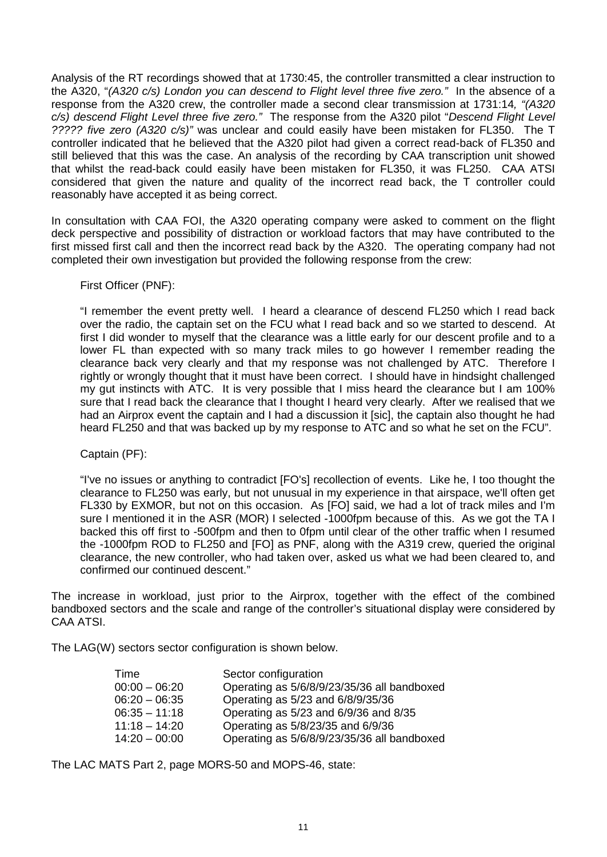Analysis of the RT recordings showed that at 1730:45, the controller transmitted a clear instruction to the A320, "*(A320 c/s) London you can descend to Flight level three five zero."* In the absence of a response from the A320 crew, the controller made a second clear transmission at 1731:14*, "(A320 c/s) descend Flight Level three five zero."* The response from the A320 pilot "*Descend Flight Level ????? five zero (A320 c/s)"* was unclear and could easily have been mistaken for FL350. The T controller indicated that he believed that the A320 pilot had given a correct read-back of FL350 and still believed that this was the case. An analysis of the recording by CAA transcription unit showed that whilst the read-back could easily have been mistaken for FL350, it was FL250. CAA ATSI considered that given the nature and quality of the incorrect read back, the T controller could reasonably have accepted it as being correct.

In consultation with CAA FOI, the A320 operating company were asked to comment on the flight deck perspective and possibility of distraction or workload factors that may have contributed to the first missed first call and then the incorrect read back by the A320. The operating company had not completed their own investigation but provided the following response from the crew:

First Officer (PNF):

"I remember the event pretty well. I heard a clearance of descend FL250 which I read back over the radio, the captain set on the FCU what I read back and so we started to descend. At first I did wonder to myself that the clearance was a little early for our descent profile and to a lower FL than expected with so many track miles to go however I remember reading the clearance back very clearly and that my response was not challenged by ATC. Therefore I rightly or wrongly thought that it must have been correct. I should have in hindsight challenged my gut instincts with ATC. It is very possible that I miss heard the clearance but I am 100% sure that I read back the clearance that I thought I heard very clearly. After we realised that we had an Airprox event the captain and I had a discussion it [sic], the captain also thought he had heard FL250 and that was backed up by my response to ATC and so what he set on the FCU".

Captain (PF):

"I've no issues or anything to contradict [FO's] recollection of events. Like he, I too thought the clearance to FL250 was early, but not unusual in my experience in that airspace, we'll often get FL330 by EXMOR, but not on this occasion. As [FO] said, we had a lot of track miles and I'm sure I mentioned it in the ASR (MOR) I selected -1000fpm because of this. As we got the TA I backed this off first to -500fpm and then to 0fpm until clear of the other traffic when I resumed the -1000fpm ROD to FL250 and [FO] as PNF, along with the A319 crew, queried the original clearance, the new controller, who had taken over, asked us what we had been cleared to, and confirmed our continued descent."

The increase in workload, just prior to the Airprox, together with the effect of the combined bandboxed sectors and the scale and range of the controller's situational display were considered by CAA ATSI.

The LAG(W) sectors sector configuration is shown below.

| Time            | Sector configuration                        |
|-----------------|---------------------------------------------|
| $00:00 - 06:20$ | Operating as 5/6/8/9/23/35/36 all bandboxed |
| $06:20 - 06:35$ | Operating as 5/23 and 6/8/9/35/36           |
| $06:35 - 11:18$ | Operating as 5/23 and 6/9/36 and 8/35       |
| $11:18 - 14:20$ | Operating as 5/8/23/35 and 6/9/36           |
| $14:20 - 00:00$ | Operating as 5/6/8/9/23/35/36 all bandboxed |

The LAC MATS Part 2, page MORS-50 and MOPS-46, state: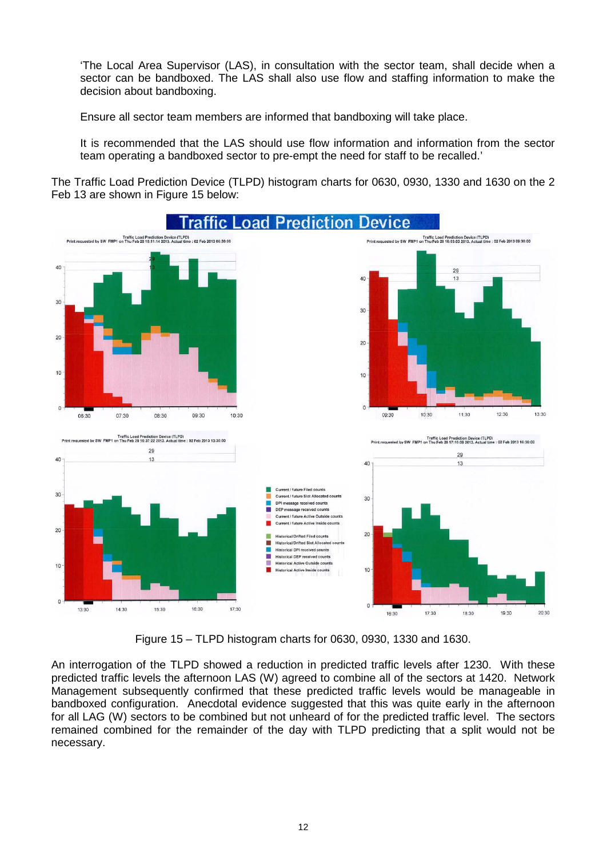'The Local Area Supervisor (LAS), in consultation with the sector team, shall decide when a sector can be bandboxed. The LAS shall also use flow and staffing information to make the decision about bandboxing.

Ensure all sector team members are informed that bandboxing will take place.

It is recommended that the LAS should use flow information and information from the sector team operating a bandboxed sector to pre-empt the need for staff to be recalled.'

The Traffic Load Prediction Device (TLPD) histogram charts for 0630, 0930, 1330 and 1630 on the 2 Feb 13 are shown in Figure 15 below:



Figure 15 – TLPD histogram charts for 0630, 0930, 1330 and 1630.

An interrogation of the TLPD showed a reduction in predicted traffic levels after 1230. With these predicted traffic levels the afternoon LAS (W) agreed to combine all of the sectors at 1420. Network Management subsequently confirmed that these predicted traffic levels would be manageable in bandboxed configuration. Anecdotal evidence suggested that this was quite early in the afternoon for all LAG (W) sectors to be combined but not unheard of for the predicted traffic level. The sectors remained combined for the remainder of the day with TLPD predicting that a split would not be necessary.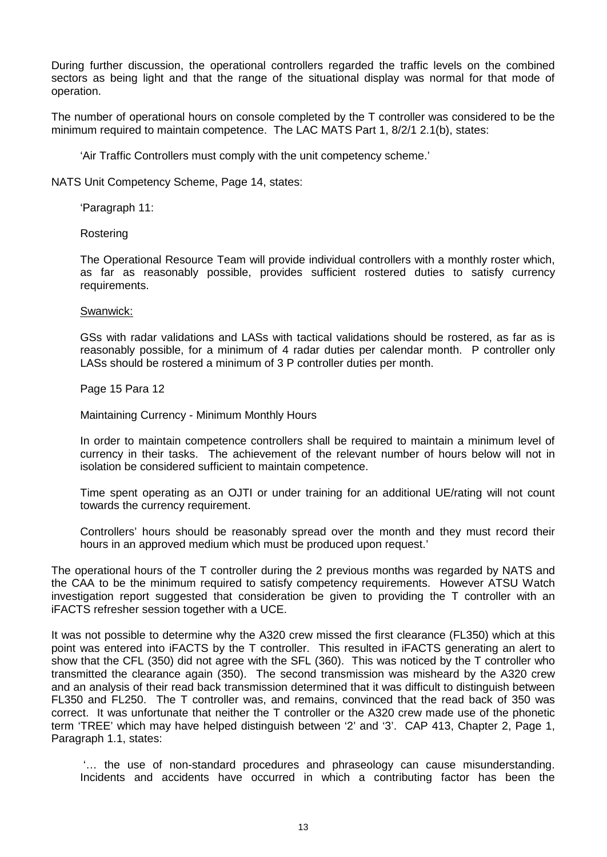During further discussion, the operational controllers regarded the traffic levels on the combined sectors as being light and that the range of the situational display was normal for that mode of operation.

The number of operational hours on console completed by the T controller was considered to be the minimum required to maintain competence. The LAC MATS Part 1, 8/2/1 2.1(b), states:

'Air Traffic Controllers must comply with the unit competency scheme.'

NATS Unit Competency Scheme, Page 14, states:

'Paragraph 11:

Rostering

The Operational Resource Team will provide individual controllers with a monthly roster which, as far as reasonably possible, provides sufficient rostered duties to satisfy currency requirements.

#### Swanwick:

GSs with radar validations and LASs with tactical validations should be rostered, as far as is reasonably possible, for a minimum of 4 radar duties per calendar month. P controller only LASs should be rostered a minimum of 3 P controller duties per month.

Page 15 Para 12

Maintaining Currency - Minimum Monthly Hours

In order to maintain competence controllers shall be required to maintain a minimum level of currency in their tasks. The achievement of the relevant number of hours below will not in isolation be considered sufficient to maintain competence.

Time spent operating as an OJTI or under training for an additional UE/rating will not count towards the currency requirement.

Controllers' hours should be reasonably spread over the month and they must record their hours in an approved medium which must be produced upon request.'

The operational hours of the T controller during the 2 previous months was regarded by NATS and the CAA to be the minimum required to satisfy competency requirements. However ATSU Watch investigation report suggested that consideration be given to providing the T controller with an iFACTS refresher session together with a UCE.

It was not possible to determine why the A320 crew missed the first clearance (FL350) which at this point was entered into iFACTS by the T controller. This resulted in iFACTS generating an alert to show that the CFL (350) did not agree with the SFL (360). This was noticed by the T controller who transmitted the clearance again (350). The second transmission was misheard by the A320 crew and an analysis of their read back transmission determined that it was difficult to distinguish between FL350 and FL250. The T controller was, and remains, convinced that the read back of 350 was correct. It was unfortunate that neither the T controller or the A320 crew made use of the phonetic term 'TREE' which may have helped distinguish between '2' and '3'. CAP 413, Chapter 2, Page 1, Paragraph 1.1, states:

'… the use of non-standard procedures and phraseology can cause misunderstanding. Incidents and accidents have occurred in which a contributing factor has been the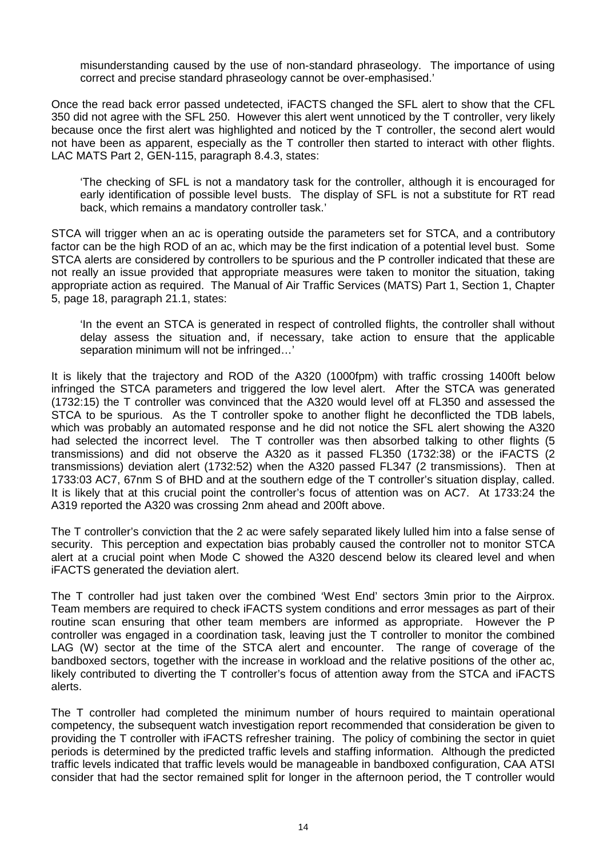misunderstanding caused by the use of non-standard phraseology. The importance of using correct and precise standard phraseology cannot be over-emphasised.'

Once the read back error passed undetected, iFACTS changed the SFL alert to show that the CFL 350 did not agree with the SFL 250. However this alert went unnoticed by the T controller, very likely because once the first alert was highlighted and noticed by the T controller, the second alert would not have been as apparent, especially as the T controller then started to interact with other flights. LAC MATS Part 2, GEN-115, paragraph 8.4.3, states:

'The checking of SFL is not a mandatory task for the controller, although it is encouraged for early identification of possible level busts. The display of SFL is not a substitute for RT read back, which remains a mandatory controller task.'

STCA will trigger when an ac is operating outside the parameters set for STCA, and a contributory factor can be the high ROD of an ac, which may be the first indication of a potential level bust. Some STCA alerts are considered by controllers to be spurious and the P controller indicated that these are not really an issue provided that appropriate measures were taken to monitor the situation, taking appropriate action as required. The Manual of Air Traffic Services (MATS) Part 1, Section 1, Chapter 5, page 18, paragraph 21.1, states:

'In the event an STCA is generated in respect of controlled flights, the controller shall without delay assess the situation and, if necessary, take action to ensure that the applicable separation minimum will not be infringed…'

It is likely that the trajectory and ROD of the A320 (1000fpm) with traffic crossing 1400ft below infringed the STCA parameters and triggered the low level alert. After the STCA was generated (1732:15) the T controller was convinced that the A320 would level off at FL350 and assessed the STCA to be spurious. As the T controller spoke to another flight he deconflicted the TDB labels, which was probably an automated response and he did not notice the SFL alert showing the A320 had selected the incorrect level. The T controller was then absorbed talking to other flights (5 transmissions) and did not observe the A320 as it passed FL350 (1732:38) or the iFACTS (2 transmissions) deviation alert (1732:52) when the A320 passed FL347 (2 transmissions). Then at 1733:03 AC7, 67nm S of BHD and at the southern edge of the T controller's situation display, called. It is likely that at this crucial point the controller's focus of attention was on AC7. At 1733:24 the A319 reported the A320 was crossing 2nm ahead and 200ft above.

The T controller's conviction that the 2 ac were safely separated likely lulled him into a false sense of security. This perception and expectation bias probably caused the controller not to monitor STCA alert at a crucial point when Mode C showed the A320 descend below its cleared level and when iFACTS generated the deviation alert.

The T controller had just taken over the combined 'West End' sectors 3min prior to the Airprox. Team members are required to check iFACTS system conditions and error messages as part of their routine scan ensuring that other team members are informed as appropriate. However the P controller was engaged in a coordination task, leaving just the T controller to monitor the combined LAG (W) sector at the time of the STCA alert and encounter. The range of coverage of the bandboxed sectors, together with the increase in workload and the relative positions of the other ac, likely contributed to diverting the T controller's focus of attention away from the STCA and iFACTS alerts.

The T controller had completed the minimum number of hours required to maintain operational competency, the subsequent watch investigation report recommended that consideration be given to providing the T controller with iFACTS refresher training. The policy of combining the sector in quiet periods is determined by the predicted traffic levels and staffing information. Although the predicted traffic levels indicated that traffic levels would be manageable in bandboxed configuration, CAA ATSI consider that had the sector remained split for longer in the afternoon period, the T controller would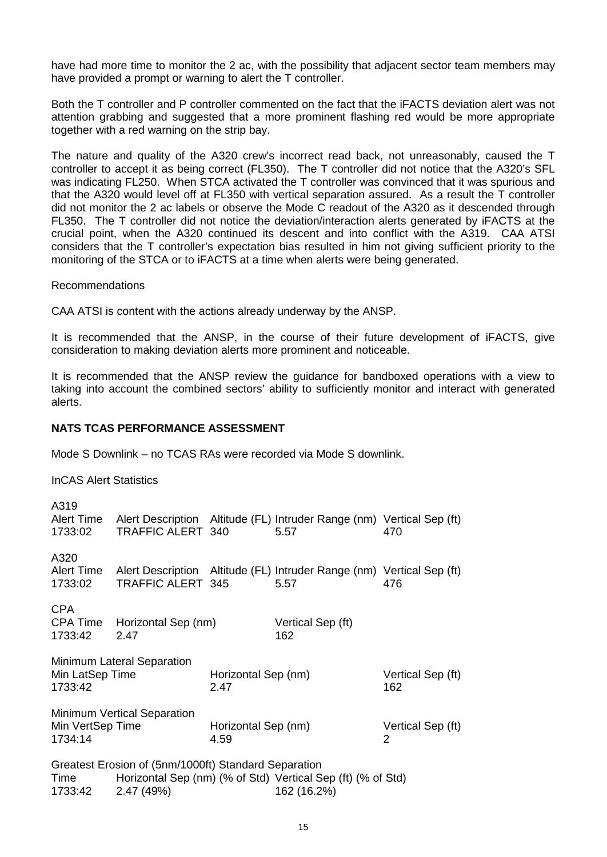have had more time to monitor the 2 ac, with the possibility that adjacent sector team members may have provided a prompt or warning to alert the T controller.

Both the T controller and P controller commented on the fact that the iFACTS deviation alert was not attention grabbing and suggested that a more prominent flashing red would be more appropriate together with a red warning on the strip bay.

The nature and quality of the A320 crew's incorrect read back, not unreasonably, caused the T controller to accept it as being correct (FL350). The T controller did not notice that the A320's SFL was indicating FL250. When STCA activated the T controller was convinced that it was spurious and that the A320 would level off at FL350 with vertical separation assured. As a result the T controller did not monitor the 2 ac labels or observe the Mode C readout of the A320 as it descended through FL350. The T controller did not notice the deviation/interaction alerts generated by iFACTS at the crucial point, when the A320 continued its descent and into conflict with the A319. CAA ATSI considers that the T controller's expectation bias resulted in him not giving sufficient priority to the monitoring of the STCA or to iFACTS at a time when alerts were being generated.

#### Recommendations

CAA ATSI is content with the actions already underway by the ANSP.

It is recommended that the ANSP, in the course of their future development of iFACTS, give consideration to making deviation alerts more prominent and noticeable.

It is recommended that the ANSP review the guidance for bandboxed operations with a view to taking into account the combined sectors' ability to sufficiently monitor and interact with generated alerts.

### **NATS TCAS PERFORMANCE ASSESSMENT**

Mode S Downlink – no TCAS RAs were recorded via Mode S downlink.

InCAS Alert Statistics

| A319<br>Alert Time<br>1733:02                                                                                                                                      | Alert Description Altitude (FL) Intruder Range (nm) Vertical Sep (ft)<br>TRAFFIC ALERT 340        |                             | 5.57                     |  | 470                      |
|--------------------------------------------------------------------------------------------------------------------------------------------------------------------|---------------------------------------------------------------------------------------------------|-----------------------------|--------------------------|--|--------------------------|
| A320<br>Alert Time<br>1733:02                                                                                                                                      | Alert Description Altitude (FL) Intruder Range (nm) Vertical Sep (ft)<br><b>TRAFFIC ALERT 345</b> |                             | 5.57                     |  | 476                      |
| <b>CPA</b><br>1733:42                                                                                                                                              | CPA Time Horizontal Sep (nm)<br>2.47                                                              |                             | Vertical Sep (ft)<br>162 |  |                          |
| Min LatSep Time<br>1733:42                                                                                                                                         | Minimum Lateral Separation                                                                        | Horizontal Sep (nm)<br>2.47 |                          |  | Vertical Sep (ft)<br>162 |
| Min VertSep Time<br>1734:14                                                                                                                                        | <b>Minimum Vertical Separation</b>                                                                | Horizontal Sep (nm)<br>4.59 |                          |  | Vertical Sep (ft)<br>2   |
| Greatest Erosion of (5nm/1000ft) Standard Separation<br>Horizontal Sep (nm) (% of Std) Vertical Sep (ft) (% of Std)<br>Time<br>2.47(49%)<br>162 (16.2%)<br>1733:42 |                                                                                                   |                             |                          |  |                          |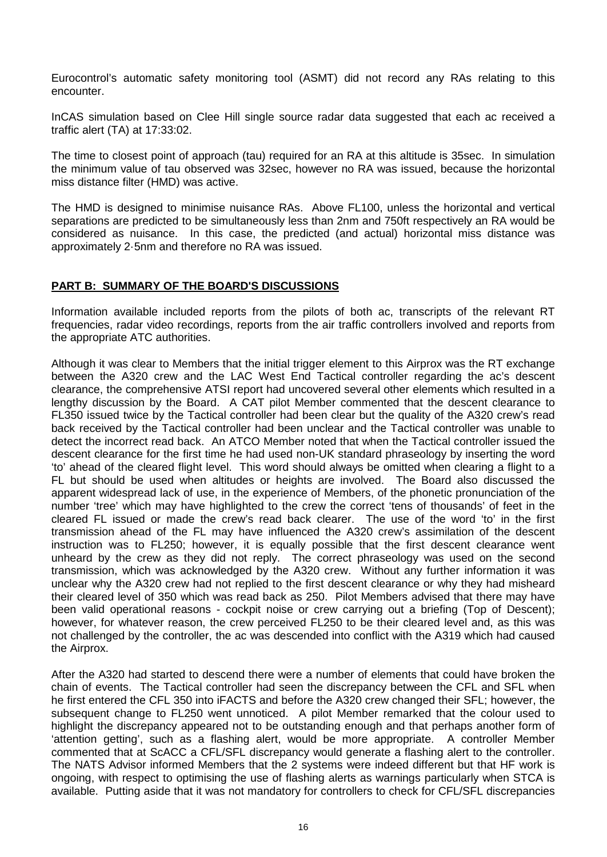Eurocontrol's automatic safety monitoring tool (ASMT) did not record any RAs relating to this encounter.

InCAS simulation based on Clee Hill single source radar data suggested that each ac received a traffic alert (TA) at 17:33:02.

The time to closest point of approach (tau) required for an RA at this altitude is 35sec. In simulation the minimum value of tau observed was 32sec, however no RA was issued, because the horizontal miss distance filter (HMD) was active.

The HMD is designed to minimise nuisance RAs. Above FL100, unless the horizontal and vertical separations are predicted to be simultaneously less than 2nm and 750ft respectively an RA would be considered as nuisance. In this case, the predicted (and actual) horizontal miss distance was approximately 2·5nm and therefore no RA was issued.

# **PART B: SUMMARY OF THE BOARD'S DISCUSSIONS**

Information available included reports from the pilots of both ac, transcripts of the relevant RT frequencies, radar video recordings, reports from the air traffic controllers involved and reports from the appropriate ATC authorities.

Although it was clear to Members that the initial trigger element to this Airprox was the RT exchange between the A320 crew and the LAC West End Tactical controller regarding the ac's descent clearance, the comprehensive ATSI report had uncovered several other elements which resulted in a lengthy discussion by the Board. A CAT pilot Member commented that the descent clearance to FL350 issued twice by the Tactical controller had been clear but the quality of the A320 crew's read back received by the Tactical controller had been unclear and the Tactical controller was unable to detect the incorrect read back. An ATCO Member noted that when the Tactical controller issued the descent clearance for the first time he had used non-UK standard phraseology by inserting the word 'to' ahead of the cleared flight level. This word should always be omitted when clearing a flight to a FL but should be used when altitudes or heights are involved. The Board also discussed the apparent widespread lack of use, in the experience of Members, of the phonetic pronunciation of the number 'tree' which may have highlighted to the crew the correct 'tens of thousands' of feet in the cleared FL issued or made the crew's read back clearer. The use of the word 'to' in the first transmission ahead of the FL may have influenced the A320 crew's assimilation of the descent instruction was to FL250; however, it is equally possible that the first descent clearance went unheard by the crew as they did not reply. The correct phraseology was used on the second transmission, which was acknowledged by the A320 crew. Without any further information it was unclear why the A320 crew had not replied to the first descent clearance or why they had misheard their cleared level of 350 which was read back as 250. Pilot Members advised that there may have been valid operational reasons - cockpit noise or crew carrying out a briefing (Top of Descent); however, for whatever reason, the crew perceived FL250 to be their cleared level and, as this was not challenged by the controller, the ac was descended into conflict with the A319 which had caused the Airprox.

After the A320 had started to descend there were a number of elements that could have broken the chain of events. The Tactical controller had seen the discrepancy between the CFL and SFL when he first entered the CFL 350 into iFACTS and before the A320 crew changed their SFL; however, the subsequent change to FL250 went unnoticed. A pilot Member remarked that the colour used to highlight the discrepancy appeared not to be outstanding enough and that perhaps another form of 'attention getting', such as a flashing alert, would be more appropriate. A controller Member commented that at ScACC a CFL/SFL discrepancy would generate a flashing alert to the controller. The NATS Advisor informed Members that the 2 systems were indeed different but that HF work is ongoing, with respect to optimising the use of flashing alerts as warnings particularly when STCA is available. Putting aside that it was not mandatory for controllers to check for CFL/SFL discrepancies